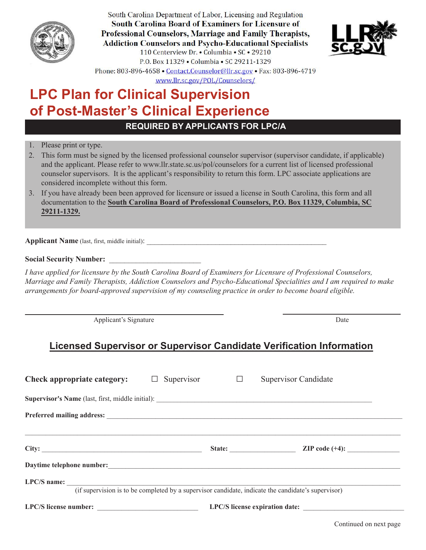

South Carolina Department of Labor, Licensing and Regulation **South Carolina Board of Examiners for Licensure of** Professional Counselors, Marriage and Family Therapists, **Addiction Counselors and Psycho-Educational Specialists** 110 Centerview Dr. • Columbia • SC • 29210 P.O. Box 11329 . Columbia . SC 29211-1329 Phone: 803-896-4658 • Contact.Counselor@llr.sc.gov • Fax: 803-896-4719



www.llr.sc.gov/POL/Counselors/

# **LPC Plan for Clinical Supervision of Post-Master's Clinical Experience**

**a**

**REQUIRED BY APPLICANTS FOR LPC/A**

- 1. Please print or type.
- 2. This form must be signed by the licensed professional counselor supervisor (supervisor candidate, if applicable) and the applicant. Please refer to www.llr.state.sc.us/pol/counselors for a current list of licensed professional counselor supervisors. It is the applicant's responsibility to return this form. LPC associate applications are considered incomplete without this form.
- 3. If you have already been been approved for licensure or issued a license in South Carolina, this form and all documentation to the **South Carolina Board of Professional Counselors, P.O. Box 11329, Columbia, SC 29211-1329.**

**Applicant Name** (last, first, middle initial):

### **Social Security Number:** \_\_\_\_\_\_\_\_\_\_\_\_\_\_\_\_\_\_\_\_\_\_\_\_

*I have applied for licensure by the South Carolina Board of Examiners for Licensure of Professional Counselors, Marriage and Family Therapists, Addiction Counselors and Psycho-Educational Specialities and I am required to make arrangements for board-approved supervision of my counseling practice in order to become board eligible.* 

Applicant's Signature Date

## **Licensed Supervisor or Supervisor Candidate Verification Information**

| Check appropriate category:                                                                                                                                                                                                   | Supervisor $\Box$ |                                | <b>Supervisor Candidate</b> |  |  |
|-------------------------------------------------------------------------------------------------------------------------------------------------------------------------------------------------------------------------------|-------------------|--------------------------------|-----------------------------|--|--|
|                                                                                                                                                                                                                               |                   |                                |                             |  |  |
|                                                                                                                                                                                                                               |                   |                                |                             |  |  |
|                                                                                                                                                                                                                               |                   | State:                         | ZIP code $(+4)$ :           |  |  |
| Daytime telephone number: the contract of the contract of the contract of the contract of the contract of the contract of the contract of the contract of the contract of the contract of the contract of the contract of the |                   |                                |                             |  |  |
| $LPC/S$ name:<br>(if supervision is to be completed by a supervisor candidate, indicate the candidate's supervisor)                                                                                                           |                   |                                |                             |  |  |
|                                                                                                                                                                                                                               |                   | LPC/S license expiration date: |                             |  |  |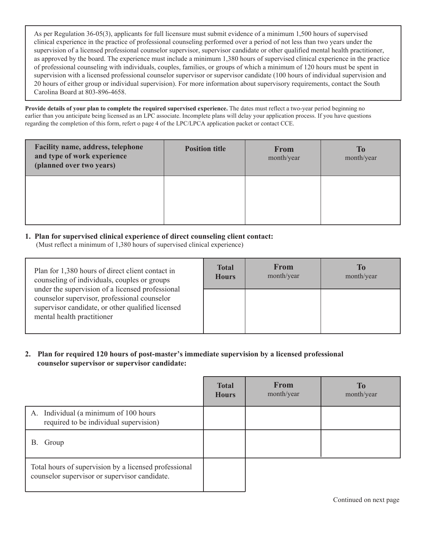As per Regulation 36-05(3), applicants for full licensure must submit evidence of a minimum 1,500 hours of supervised clinical experience in the practice of professional counseling performed over a period of not less than two years under the supervision of a licensed professional counselor supervisor, supervisor candidate or other qualified mental health practitioner, as approved by the board. The experience must include a minimum 1,380 hours of supervised clinical experience in the practice of professional counseling with individuals, couples, families, or groups of which a minimum of 120 hours must be spent in supervision with a licensed professional counselor supervisor or supervisor candidate (100 hours of individual supervision and 20 hours of either group or individual supervision). For more information about supervisory requirements, contact the South Carolina Board at 803-896-4658.

**Provide details of your plan to complete the required supervised experience.** The dates must reflect a two-year period beginning no earlier than you anticipate being licensed as an LPC associate. Incomplete plans will delay your application process. If you have questions regarding the completion of this form, refert o page 4 of the LPC/LPCA application packet or contact CCE.

| Facility name, address, telephone<br>and type of work experience<br>(planned over two years) | <b>Position title</b> | <b>From</b><br>month/year | <b>To</b><br>month/year |
|----------------------------------------------------------------------------------------------|-----------------------|---------------------------|-------------------------|
|                                                                                              |                       |                           |                         |

#### **1. Plan for supervised clinical experience of direct counseling client contact:**

(Must reflect a minimum of 1,380 hours of supervised clinical experience)

| Plan for 1,380 hours of direct client contact in<br>counseling of individuals, couples or groups<br>under the supervision of a licensed professional<br>counselor supervisor, professional counselor<br>supervisor candidate, or other qualified licensed<br>mental health practitioner | <b>Total</b><br><b>Hours</b> | <b>From</b><br>month/year | To<br>month/year |
|-----------------------------------------------------------------------------------------------------------------------------------------------------------------------------------------------------------------------------------------------------------------------------------------|------------------------------|---------------------------|------------------|
|                                                                                                                                                                                                                                                                                         |                              |                           |                  |

#### **2. Plan for required 120 hours of post-master's immediate supervision by a licensed professional counselor supervisor or supervisor candidate:**

|                                                                                                        | <b>Total</b><br><b>Hours</b> | <b>From</b><br>month/year | <b>To</b><br>month/year |
|--------------------------------------------------------------------------------------------------------|------------------------------|---------------------------|-------------------------|
| Individual (a minimum of 100 hours<br>А.<br>required to be individual supervision)                     |                              |                           |                         |
| В.<br>Group                                                                                            |                              |                           |                         |
| Total hours of supervision by a licensed professional<br>counselor supervisor or supervisor candidate. |                              |                           |                         |